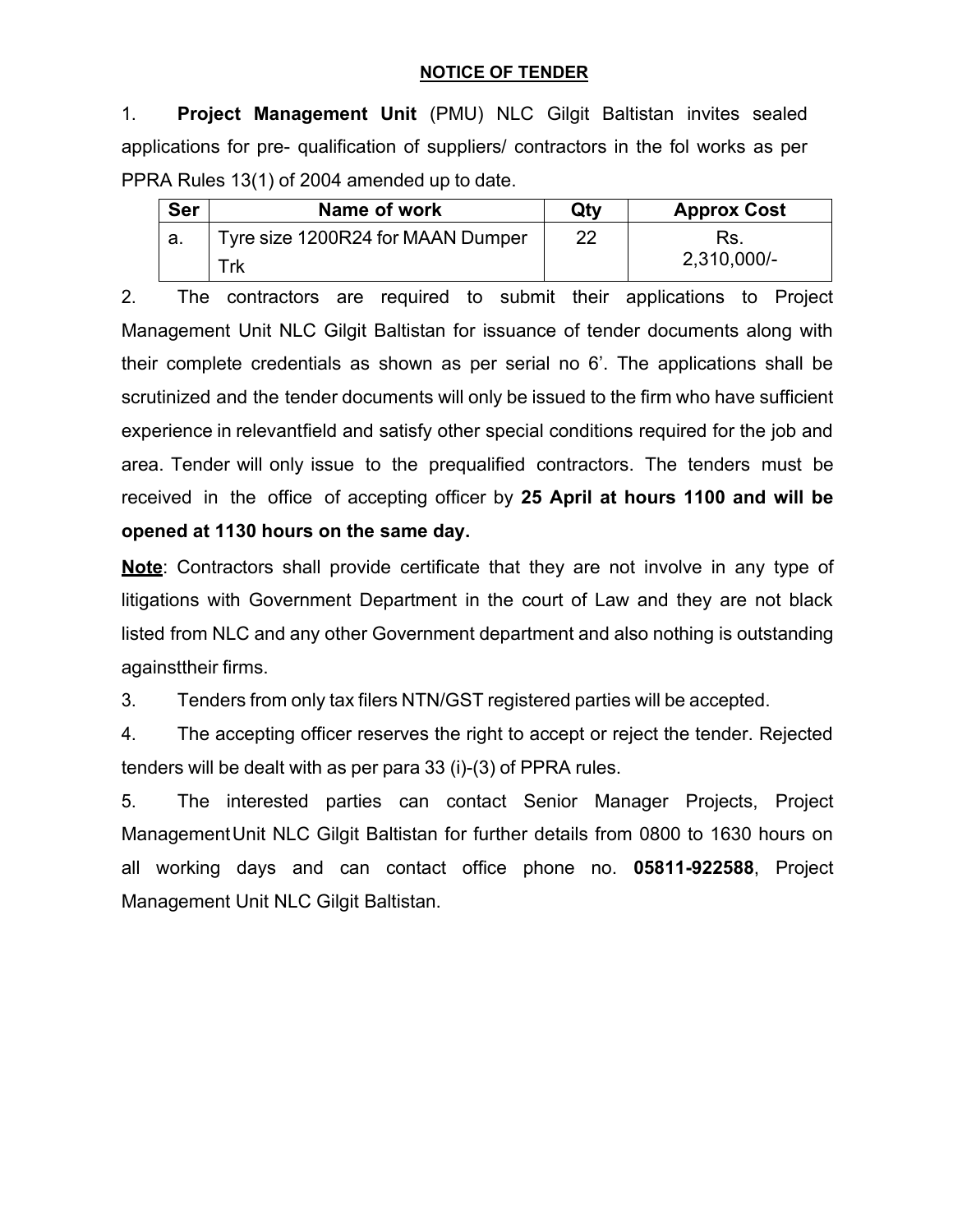## **NOTICE OF TENDER**

1. **Project Management Unit** (PMU) NLC Gilgit Baltistan invites sealed applications for pre- qualification of suppliers/ contractors in the fol works as per PPRA Rules 13(1) of 2004 amended up to date.

| <b>Ser</b> | Name of work                      | Qty | <b>Approx Cost</b> |  |
|------------|-----------------------------------|-----|--------------------|--|
|            | Tyre size 1200R24 for MAAN Dumper | 22  | Ks.                |  |
|            | Trk                               |     | 2,310,000/-        |  |

2. The contractors are required to submit their applications to Project Management Unit NLC Gilgit Baltistan for issuance of tender documents along with their complete credentials as shown as per serial no 6'. The applications shall be scrutinized and the tender documents will only be issued to the firm who have sufficient experience in relevantfield and satisfy other special conditions required for the job and area. Tender will only issue to the prequalified contractors. The tenders must be received in the office of accepting officer by **25 April at hours 1100 and will be opened at 1130 hours on the same day.**

**Note**: Contractors shall provide certificate that they are not involve in any type of litigations with Government Department in the court of Law and they are not black listed from NLC and any other Government department and also nothing is outstanding againsttheir firms.

3. Tenders from only tax filers NTN/GST registered parties will be accepted.

4. The accepting officer reserves the right to accept or reject the tender. Rejected tenders will be dealt with as per para 33 (i)-(3) of PPRA rules.

5. The interested parties can contact Senior Manager Projects, Project ManagementUnit NLC Gilgit Baltistan for further details from 0800 to 1630 hours on all working days and can contact office phone no. **05811-922588**, Project Management Unit NLC Gilgit Baltistan.